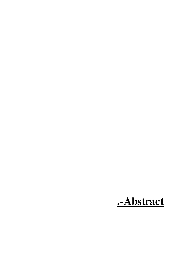## **.-Abstract**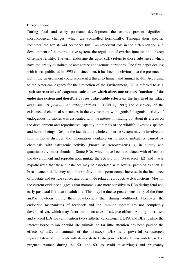## **Introduction:**

During fetal and early postnatal development the ovaries present significant morphological changes, which are controlled hormonally. Through their specific receptors, the sex steroid hormones fulfill an important role in the differentiation and development of the reproductive system, the regulation of ovarian function and upkeep of female fertility. The term endocrine disruptor (ED) refers to those substances which have the ability to imitate or antagonize endogenous hormones. The first paper dealing with it was published in 1993 and since then, it has become obvious that the presence of ED in the environment could represent a threat to human and animal health. According to the American Agency for the Protection of the Environment, ED is referred to as a *"***substance or mix of exogenous substances which alters one or more functions of the endocrine system and therefore causes unfavorable effects on the health of an intact organism,** *its progeny or subpopulations."* (USEPA, 1997).The discovery of the existence of chemical substances in the environment with agonist/antagonist activity of endogenous hormones was associated with the interest in finding out about its effects on the development and reproductive capacity in animals of the wildlife, livestock species and human beings. Despite the fact that the whole endocrine system may be involved in this hormonal disorder, the information available on hormonal imbalance caused by chemicals with estrogenic activity (known as xenostrogens) is, in quality and quantitatively, most abundant. Some EDs, which have been associated with effects on the development and reproduction, imitate the activity of 17β-estradiol (E2) and it was hypothesized that these substances may be associated with several pathologies such as breast cancer, deficiency and abnormality in the sperm count, increase in the incidence of prostate and testicle cancer and other male related reproductive dysfunctions. Most of the current evidence suggests that mammals are more sensitive to EDs during fetal and early postnatal life than in adult life. This may be due to greater sensitivity of the fetus and/or newborn during their development than during adulthood. Moreover, the endocrine mechanisms of feedback and the immune system are not completely developed yet, which may favor the appearance of adverse effects. Among most used and studied EDs we can mention two synthetic xenostrogens: BPA and DES. Unlike the interest borne to lab or wild life animals, so far little attention has been paid to the effects of EDs on animals of the livestock. DES is a powerful xenostrogen representative of chemicals with demonstrated estrogenic activity. It was widely used on pregnant women during the 50s and 60s to avoid miscarriages and pregnancy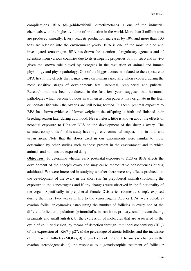complications. BPA (di-(p-hidroxifenil) dimetilmetano) is one of the industrial chemicals with the highest volume of production in the world. More than 3 million tons are produced annually. Every year, its production increases by 10% and more than 100 tons are released into the environment yearly. BPA is one of the most studied and investigated xenostrogen. BPA has drawn the attention of regulatory agencies and of scientists from various countries due to its estrogenic properties both in vitro and in vivo given the known role played by estrogens in the regulation of animal and human physiology and physiopathology. One of the biggest concerns related to the exposure to BPA lies in the effects that it may cause on human especially when exposed during the most sensitive stages of development: fetal, neonatal, prepubertal and pubertal. Research that has been conducted in the last few years suggests that hormonal pathologies which become obvious in women as from puberty may originate in the fetal or neonatal life when the ovaries are still being formed. In sheep, prenatal exposure to BPA has shown evidence of lower weight in the offspring at birth and finished their breeding season later during adulthood. Nevertheless, little is known about the effects of neonatal exposure to BPA or DES on the development of the sheep's ovary. The selected compounds for this study have high environmental impact, both in rural and urban areas. Note that the doses used in our experiments were similar to those determined by other studies such as those present in the environment and to which animals and humans are exposed daily.

**Objectives:** To determine whether early postnatal exposure to DES or BPA affects the development of the sheep's ovary and may cause reproductive consequences during adulthood. We were interested in studying whether there were any effects produced on the development of the ovary in the short run (in prepubertal animals) following the exposure to the xenostrogens and if any changes were observed in the functionality of the organ. Specifically in prepubertal female Ovis aries (domestic sheep), exposed during their first two weeks of life to the xenostrogens DES or BPA, we studied: a) ovarian follicular dynamics establishing the number of follicles in every one of the different follicular populations (primordial's, in transition, primary, small preantrals, big preantrals and small antrals); b) the expression of molecules that are associated to the cycle of cellular division, by means of detection through immunohistochemistry (IHQ) of the expression of Ki67 y p27; c) the percentage of atretic follicles and the incidence of multiovular follicles (MOFs); d) serum levels of E2 and T to analyze changes in the ovarian steroidogenesis. e) the response to a gonadotrophic treatment of follicular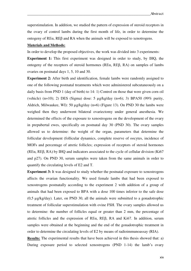superstimulation. In addition, we studied the pattern of expression of steroid receptors in the ovary of control lambs during the first month of life, in order to determine the ontogeny of REα, REβ and RA when the animals will be exposed to xenotrogens.

## **Materials and Methods:**

In order to develop the proposed objectives, the work was divided into 3 experiments:

**Experiment 1:** This first experiment was designed in order to study, by IHQ, the ontogeny of the receptors of steroid hormones (REα, REβ, RA) on samples of lambs ovaries on postnatal days 1, 5, 10 and 30.

**Experiment 2:** After birth and identification, female lambs were randomly assigned to one of the following postnatal treatments which were administered subcutaneously on a daily basis from PND 1 (day of birth) to 14: 1) Control on those that were given corn oil (vehicle)  $(n=10)$ ; 2) DES (Sigma) dose: 5  $\mu$ g/kg/day  $(n=6)$ ; 3) BPA50 (99% purity, Aldrich, Milwaukee, WI): 50 µg/kg/day (n=6) (Figure 13). On PND 30 the lambs were weighed then they underwent bilateral ovariectomy under general anesthesia. We determined the effects of the exposure to xenostrogens on the development of the ovary in prepubertal ewes, specifically on postnatal day 30 (PND 30). The ovary samples allowed us to determine: the weight of the organ, parameters that determine the follicular development (follicular dynamics, complete reserve of oocytes, incidence of MOFs and percentage of atretic follicles; expression of receptors of steroid hormones (REα, REβ, RA) by IHQ and indicators associated to the cycle of cellular division (Ki67 and p27). On PND 30, serum samples were taken from the same animals in order to quantify the circulating levels of E2 and T.

**Experiment 3:** It was designed to study whether the postnatal exposure to xenostrogens affects the ovarian functionality. We used female lambs that had been exposed to xenostrogens postnatally according to the experiment 2 with addition of a group of animals that had been exposed to BPA with a dose 100 times inferior to the safe dose (0,5 µg/kg/day). Later, on PND 30, all the animals were submitted to a gonadotrophic treatment of follicular superstimulation with ovine FSH. The ovary samples allowed us to determine: the number of follicles equal or greater than 2 mm, the percentage of atretic follicles and the expression of REα, REβ, RA and Ki67. In addition, serum samples were obtained at the beginning and the end of the gonadotrophic treatment in order to determine the circulating levels of E2 by means of radioimmunoassay (RIA).

**Results:** The experimental results that have been achieved in this thesis showed that: a) During exposure period to selected xenostrogens (PND 1-14) the lamb's ovary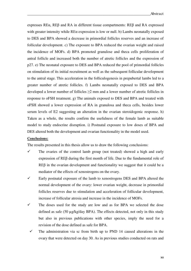expresses REα, REβ and RA in different tissue compartments: REβ and RA expressed with greater intensity while  $RE\alpha$  expression is low or null. b) Lambs neonatally exposed to DES and BPA showed a decrease in primordial follicles reserves and an increase of follicular development. c) The exposure to BPA reduced the ovarian weight and raised the incidence of MOFs. d) BPA promoted granulose and theca cells proliferation of antral follicle and increased both the number of atretic follicles and the expression of p27. e) The neonatal exposure to DES and BPA reduced the pool of primordial follicles on stimulation of its initial recruitment as well as the subsequent follicular development to the antral stage. This acceleration in the folliculogenesis in prepubertal lambs led to a greater number of atretic follicles. f) Lambs neonatally exposed to DES and BPA developed a lower number of follicles  $\geq 2$  mm and a lower number of atretic follicles in response to oFSH treatment. g) The animals exposed to DES and BPA and treated with oFSH showed a lower expression of RA in granulosa and theca cells, besides lower serum levels of E2 suggesting an alteration in the ovarian steroidogenic response. h) Taken as a whole, the results confirm the usefulness of the female lamb as suitable model to study endocrine disruption. i) Postnatal exposure to low doses of BPA and DES altered both the development and ovarian functionality in the model used.

## **Conclusions:**

The results presented in this thesis allow us to draw the following conclusions:

- $\checkmark$  The ovaries of the control lamb group (not treated) showed a high and early expression of REβ during the first month of life. Due to the fundamental role of REβ in the ovarian development and functionality we suggest that it could be a mediator of the effects of xenostrogens on the ovary.
- $\checkmark$  Early postnatal exposure of the lamb to xenostrogens DES and BPA altered the normal development of the ovary: lower ovarian weight, decrease in primordial follicles reserves due to stimulation and acceleration of follicular development, increase of follicular atresia and increase in the incidence of MOFs.
- $\checkmark$  The doses used for the study are low and as for BPA we selected the dose defined as safe (50 µg/kg/day BPA). The effects detected, not only in this study but also in previous publications with other species, imply the need for a revision of the dose defined as safe for BPA.
- The administration via sc from birth up to PND 14 caused alterations in the ovary that were detected on day 30. As in previous studies conducted on rats and